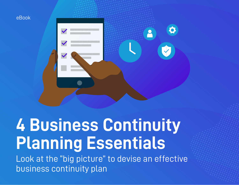

# **4 Business Continuity Planning Essentials**

Look at the "big picture" to devise an effective business continuity plan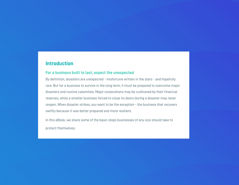## **Introduction**

#### **For a business built to last, expect the unexpected**

By definition, disasters are unexpected - misfortune written in the stars - and hopefully rare. But for a business to survive in the long term, it must be prepared to overcome major disasters and routine calamities. Major corporations may be cushioned by their financial reserves, while a smaller business forced to close its doors during a disaster may never reopen. When disaster strikes, you want to be the exception - the business that recovers swiftly because it was better prepared and more resilient.

In this eBook, we share some of the basic steps businesses of any size should take to protect themselves.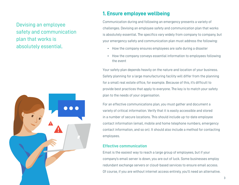# Devising an employee safety and communication plan that works is absolutely essential.



## **1. Ensure employee wellbeing**

Communication during and following an emergency presents a variety of challenges. Devising an employee safety and communication plan that works is absolutely essential. The specifics vary widely from company to company, but your emergency safety and communication plan must address the following:

- How the company ensures employees are safe during a disaster
- How the company conveys essential information to employees following the event

Your safety plan depends heavily on the nature and location of your business. Safety planning for a large manufacturing facility will differ from the planning for a small real estate office, for example. Because of this, it's difficult to provide best practices that apply to everyone. The key is to match your safety plan to the needs of your organisation.

For an effective communications plan, you must gather and document a variety of critical information. Verify that it is easily accessible and stored in a number of secure locations. This should include up-to-date employee contact information (email, mobile and home telephone numbers, emergency contact information, and so on). It should also include a method for contacting employees.

#### **Effective communication**

Email is the easiest way to reach a large group of employees, but if your company's email server is down, you are out of luck. Some businesses employ redundant exchange servers or cloud-based services to ensure email access. Of course, if you are without internet access entirely, you'll need an alternative.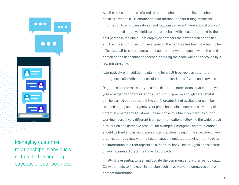Managing customer relationships is obviously critical to the ongoing success of your business.

 $\bullet$   $\bullet$   $\bullet$ 

A call tree - sometimes referred to as a telephone tree, call list, telephone chain, or text chain - is another popular method for distributing important information to employees during and following an event. Here's how it works. A predetermined employee initiates the call chain with a call and/or text to the next person in the chain. That employee contacts the next person on the list and the chain continues until everyone on the call tree has been reached. To be effective, call tree procedures must account for what happens when the next person on the list cannot be reached, ensuring the chain will not be broken by a few missing links.

Alternatively, or in addition to planning for a call tree, you can automate emergency calls with purpose-built communications software and services.

Regardless of the methods you use to distribute information to your employees, your emergency communications plan should provide enough detail that it can be carried out by others if the plan's creator is not available or can't be reached during an emergency. Your plan should also encompass a variety of potential emergency situations. The response to a fire in your facility during working hours is very different from communications following the widespread distribution of a defective product, for example. Emergency communications should be brief and as accurate as possible. Depending on the structure of your organisation, you may want to keep managers updated, allowing them to pass on information to direct reports on a "need-to-know" basis. Again, the specifics of your business dictate the correct approach.

Finally, it is essential to test and update the communications plan periodically. Carry out tests to find gaps in the plan such as out-of-date employee lists or contact information.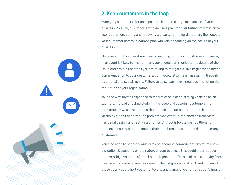## **2. Keep customers in the loop**

Managing customer relationships is critical to the ongoing success of your business. As such, it is important to devise a plan for distributing information to your customers during and following a disaster or major disruption. The scope of your customer communications plan will vary depending on the nature of your business.

Not every glitch in operations merits reaching out to your customers. However, if an event is likely to impact them, you should communicate the details of the issue and explain the steps you are taking to mitigate it. This might mean direct communication to your customers, but it could also mean messaging through traditional and social media. Failure to do so can have a negative impact on the reputation of your organisation.

Take the way Toyota responded to reports of self-accelerating vehicles as an example. Instead of acknowledging the issue and assuring customers that the company was investigating the problem, the company opted to blame the victim by citing user error. The problem was eventually pinned on floor mats, gas pedal design, and faulty electronics. Although Toyota spent billions to replace accelerator components, their initial response created distrust among customers.

You also need to handle a wide array of incoming communications following a disruption. Depending on the nature of your business this could mean support requests, high volumes of email and telephone traffic, social media activity from frustrated customers, media interest - the list goes on and on. Handling any of those poorly could hurt customer loyalty and damage your organisation's image.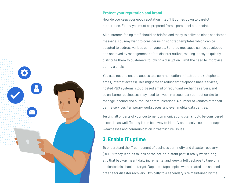

#### **Protect your reputation and brand**

How do you keep your good reputation intact? It comes down to careful preparation. Firstly, you must be prepared from a personnel standpoint.

All customer-facing staff should be briefed and ready to deliver a clear, consistent message. You may want to consider using scripted templates which can be adapted to address various contingencies. Scripted messages can be developed and approved by management before disaster strikes, making it easy to quickly distribute them to customers following a disruption. Limit the need to improvise during a crisis.

You also need to ensure access to a communication infrastructure (telephone, email, internet access). This might mean redundant telephone lines/services, hosted PBX systems, cloud-based email or redundant exchange servers, and so on. Larger businesses may need to invest in a secondary contact centre to manage inbound and outbound communications. A number of vendors offer call centre services, temporary workspaces, and even mobile data centres.

Testing all or parts of your customer communications plan should be considered essential as well. Testing is the best way to identify and resolve customer support weaknesses and communication infrastructure issues.

## **3. Enable IT uptime**

To understand the IT component of business continuity and disaster recovery (BCDR) today, it helps to look at the not-so-distant past. It really wasn't long ago that backup meant daily incremental and weekly full backups to tape or a dedicated disk backup target. Duplicate tape copies were created and shipped off site for disaster recovery - typically to a secondary site maintained by the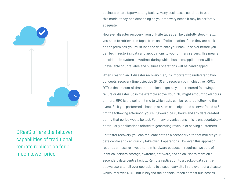

DRaaS offers the failover capabilities of traditional remote replication for a much lower price.

business or to a tape-vaulting facility. Many businesses continue to use this model today, and depending on your recovery needs it may be perfectly adequate.

However, disaster recovery from off-site tapes can be painfully slow. Firstly, you need to retrieve the tapes from an off-site location. Once they are back on the premises, you must load the data onto your backup server before you can begin restoring data and applications to your primary servers. This means considerable system downtime, during which business applications will be unavailable or unreliable and business operations will be handicapped.

When creating an IT disaster recovery plan, it's important to understand two concepts: recovery time objective (RTO) and recovery point objective (RPO). RTO is the amount of time that it takes to get a system restored following a failure or disaster. So in the example above, your RTO might amount to 48 hours or more. RPO is the point in time to which data can be restored following the event. So if you performed a backup at 6 pm each night and a server failed at 5 pm the following afternoon, your RPO would be 23 hours and any data created during that period would be lost. For many organisations, this is unacceptable particularly applications related to generating revenue or serving customers.

For faster recovery, you can replicate data to a secondary site that mirrors your data centre and can quickly take over IT operations. However, this approach requires a massive investment in hardware because it requires two sets of identical servers, storage, switches, software, and so on. Not to mention a secondary data centre facility. Remote replication to a backup data centre allows users to fail over operations to a secondary site in the event of a disaster, which improves RTO - but is beyond the financial reach of most businesses.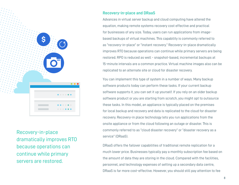

Recovery-in-place dramatically improves RTO because operations can continue while primary servers are restored.

#### **Recovery-in-place and DRaaS**

Advances in virtual server backup and cloud computing have altered the equation, making remote systems recovery cost effective and practical for businesses of any size. Today, users can run applications from imagebased backups of virtual machines. This capability is commonly referred to as "recovery-in-place" or "instant recovery." Recovery-in-place dramatically improves RTO because operations can continue while primary servers are being restored. RPO is reduced as well - snapshot-based, incremental backups at 15-minute intervals are a common practice. Virtual machine images also can be replicated to an alternate site or cloud for disaster recovery.

You can implement this type of system in a number of ways. Many backup software products today can perform these tasks. If your current backup software supports it, you can set it up yourself. If you rely on an older backup software product or you are starting from scratch, you might opt to outsource these tasks. In this model, an appliance is typically placed on the premises for local backup and recovery and data is replicated to the cloud for disaster recovery. Recovery-in place technology lets you run applications from the onsite appliance or from the cloud following an outage or disaster. This is commonly referred to as "cloud disaster recovery" or "disaster recovery as a service" (DRaaS).

DRaaS offers the failover capabilities of traditional remote replication for a much lower price. Businesses typically pay a monthly subscription fee based on the amount of data they are storing in the cloud. Compared with the facilities, personnel, and technology expenses of setting up a secondary data centre, DRaaS is far more cost-effective. However, you should still pay attention to fee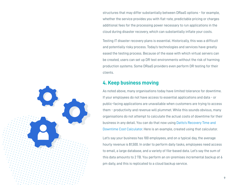structures that may differ substantially between DRaaS options - for example, whether the service provides you with flat-rate, predictable pricing or charges additional fees for the processing power necessary to run applications in the cloud during disaster recovery, which can substantially inflate your costs.

Testing IT disaster recovery plans is essential. Historically, this was a difficult and potentially risky process. Today's technologies and services have greatly eased the testing process. Because of the ease with which virtual servers can be created, users can set up DR test environments without the risk of harming production systems. Some DRaaS providers even perform DR testing for their clients.

### **4. Keep business moving**

As noted above, many organisations today have limited tolerance for downtime. If your employees do not have access to essential applications and data - or public-facing applications are unavailable when customers are trying to access them - productivity and revenue will plummet. While this sounds obvious, many organisations do not attempt to calculate the actual costs of downtime for their business in any detail. You can do that now using Datto's Recovery Time and Downtime Cost Calculator. Here is an example, created using that calculator.

Let's say your business has 100 employees, and on a typical day, the average hourly revenue is \$1,500. In order to perform daily tasks, employees need access to email, a large database, and a variety of file-based data. Let's say the sum of this data amounts to 2 TB. You perform an on-premises incremental backup at 6 pm daily, and this is replicated to a cloud backup service.

9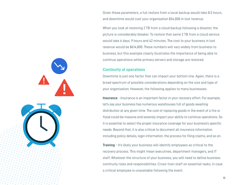Given these parameters, a full restore from a local backup would take 8.5 hours, and downtime would cost your organisation \$34,000 in lost revenue.

When you look at restoring 2 TB from a cloud backup following a disaster, the picture is considerably bleaker. To restore that same 2 TB from a cloud service would take 6 days, 9 hours and 42 minutes. The cost to your business in lost revenue would be \$614,800. These numbers will vary widely from business to business, but this example clearly illustrates the importance of being able to continue operations while primary servers and storage are restored.

#### **Continuity of operations**

Downtime is just one factor that can impact your bottom line. Again, there is a broad spectrum of possible considerations depending on the size and type of your organisation. However, the following applies to many businesses.

**Insurance** - Insurance is an important factor in your recovery effort. For example, let's say your business has numerous warehouses full of goods awaiting distribution at any given time. The cost of replacing goods in the event of a fire or flood could be massive and severely impact your ability to continue operations. So it is essential to select the proper insurance coverage for your business's specific needs. Beyond that, it is also critical to document all insurance information including policy details, login information, the process for filing claims, and so on.

**Training** - It's likely your business will identify employees as critical to the recovery process. This might mean executives, department managers, and IT staff. Whatever the structure of your business, you will need to define business continuity roles and responsibilities. Cross-train staff on essential tasks, in case a critical employee is unavailable following the event.

10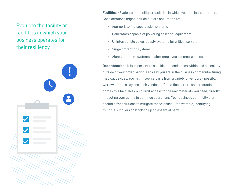## Evaluate the facility or facilities in which your business operates for their resiliency.



**Facilities** - Evaluate the facility or facilities in which your business operates. Considerations might include but are not limited to:

- Appropriate fire suppression systems
- Generators capable of powering essential equipment
- Uninterruptible power supply systems for critical servers
- Surge protection systems
- Alarm/intercom systems to alert employees of emergencies

**Dependencies** - It is important to consider dependencies within and especially outside of your organisation. Let's say you are in the business of manufacturing medical devices. You might source parts from a variety of vendors - possibly worldwide. Let's say one such vendor suffers a flood or fire and production comes to a halt. This could limit access to the raw materials you need, directly impacting your ability to continue operations. Your business continuity plan should offer solutions to mitigate these issues - for example, identifying multiple suppliers or stocking up on essential parts.